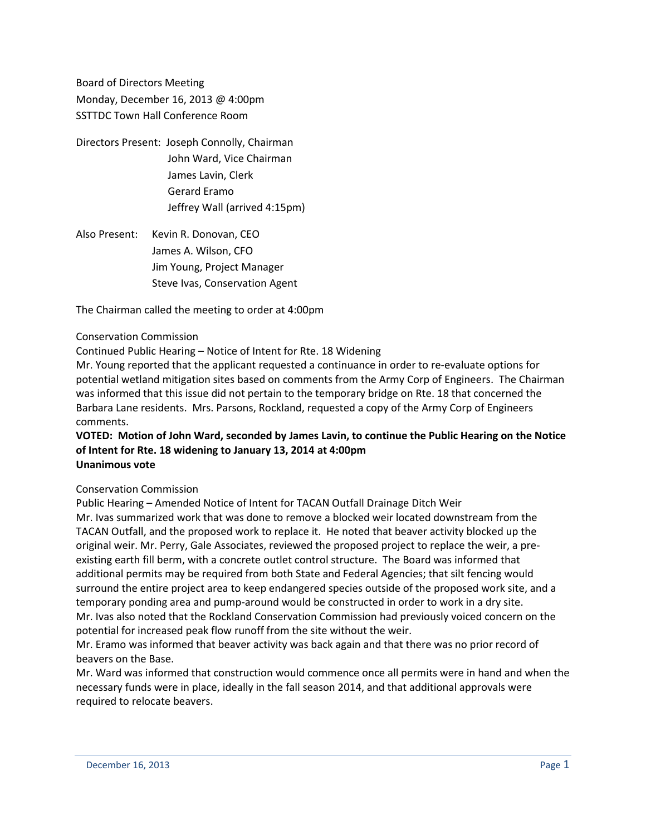Board of Directors Meeting Monday, December 16, 2013 @ 4:00pm SSTTDC Town Hall Conference Room

- Directors Present: Joseph Connolly, Chairman John Ward, Vice Chairman James Lavin, Clerk Gerard Eramo Jeffrey Wall (arrived 4:15pm)
- Also Present: Kevin R. Donovan, CEO James A. Wilson, CFO Jim Young, Project Manager Steve Ivas, Conservation Agent

The Chairman called the meeting to order at 4:00pm

## Conservation Commission

Continued Public Hearing – Notice of Intent for Rte. 18 Widening

Mr. Young reported that the applicant requested a continuance in order to re-evaluate options for potential wetland mitigation sites based on comments from the Army Corp of Engineers. The Chairman was informed that this issue did not pertain to the temporary bridge on Rte. 18 that concerned the Barbara Lane residents. Mrs. Parsons, Rockland, requested a copy of the Army Corp of Engineers comments.

## **VOTED: Motion of John Ward, seconded by James Lavin, to continue the Public Hearing on the Notice of Intent for Rte. 18 widening to January 13, 2014 at 4:00pm Unanimous vote**

## Conservation Commission

Public Hearing – Amended Notice of Intent for TACAN Outfall Drainage Ditch Weir Mr. Ivas summarized work that was done to remove a blocked weir located downstream from the TACAN Outfall, and the proposed work to replace it. He noted that beaver activity blocked up the original weir. Mr. Perry, Gale Associates, reviewed the proposed project to replace the weir, a preexisting earth fill berm, with a concrete outlet control structure. The Board was informed that additional permits may be required from both State and Federal Agencies; that silt fencing would surround the entire project area to keep endangered species outside of the proposed work site, and a temporary ponding area and pump-around would be constructed in order to work in a dry site. Mr. Ivas also noted that the Rockland Conservation Commission had previously voiced concern on the potential for increased peak flow runoff from the site without the weir.

Mr. Eramo was informed that beaver activity was back again and that there was no prior record of beavers on the Base.

Mr. Ward was informed that construction would commence once all permits were in hand and when the necessary funds were in place, ideally in the fall season 2014, and that additional approvals were required to relocate beavers.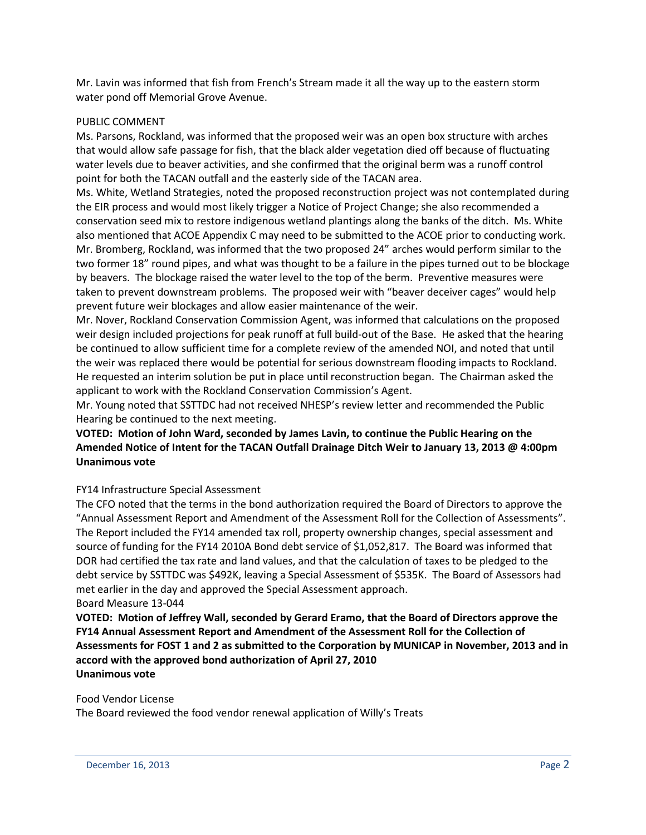Mr. Lavin was informed that fish from French's Stream made it all the way up to the eastern storm water pond off Memorial Grove Avenue.

### PUBLIC COMMENT

Ms. Parsons, Rockland, was informed that the proposed weir was an open box structure with arches that would allow safe passage for fish, that the black alder vegetation died off because of fluctuating water levels due to beaver activities, and she confirmed that the original berm was a runoff control point for both the TACAN outfall and the easterly side of the TACAN area.

Ms. White, Wetland Strategies, noted the proposed reconstruction project was not contemplated during the EIR process and would most likely trigger a Notice of Project Change; she also recommended a conservation seed mix to restore indigenous wetland plantings along the banks of the ditch. Ms. White also mentioned that ACOE Appendix C may need to be submitted to the ACOE prior to conducting work. Mr. Bromberg, Rockland, was informed that the two proposed 24" arches would perform similar to the two former 18" round pipes, and what was thought to be a failure in the pipes turned out to be blockage by beavers. The blockage raised the water level to the top of the berm. Preventive measures were taken to prevent downstream problems. The proposed weir with "beaver deceiver cages" would help prevent future weir blockages and allow easier maintenance of the weir.

Mr. Nover, Rockland Conservation Commission Agent, was informed that calculations on the proposed weir design included projections for peak runoff at full build-out of the Base. He asked that the hearing be continued to allow sufficient time for a complete review of the amended NOI, and noted that until the weir was replaced there would be potential for serious downstream flooding impacts to Rockland. He requested an interim solution be put in place until reconstruction began. The Chairman asked the applicant to work with the Rockland Conservation Commission's Agent.

Mr. Young noted that SSTTDC had not received NHESP's review letter and recommended the Public Hearing be continued to the next meeting.

# **VOTED: Motion of John Ward, seconded by James Lavin, to continue the Public Hearing on the Amended Notice of Intent for the TACAN Outfall Drainage Ditch Weir to January 13, 2013 @ 4:00pm Unanimous vote**

## FY14 Infrastructure Special Assessment

The CFO noted that the terms in the bond authorization required the Board of Directors to approve the "Annual Assessment Report and Amendment of the Assessment Roll for the Collection of Assessments". The Report included the FY14 amended tax roll, property ownership changes, special assessment and source of funding for the FY14 2010A Bond debt service of \$1,052,817. The Board was informed that DOR had certified the tax rate and land values, and that the calculation of taxes to be pledged to the debt service by SSTTDC was \$492K, leaving a Special Assessment of \$535K. The Board of Assessors had met earlier in the day and approved the Special Assessment approach. Board Measure 13-044

**VOTED: Motion of Jeffrey Wall, seconded by Gerard Eramo, that the Board of Directors approve the FY14 Annual Assessment Report and Amendment of the Assessment Roll for the Collection of Assessments for FOST 1 and 2 as submitted to the Corporation by MUNICAP in November, 2013 and in accord with the approved bond authorization of April 27, 2010 Unanimous vote**

#### Food Vendor License

The Board reviewed the food vendor renewal application of Willy's Treats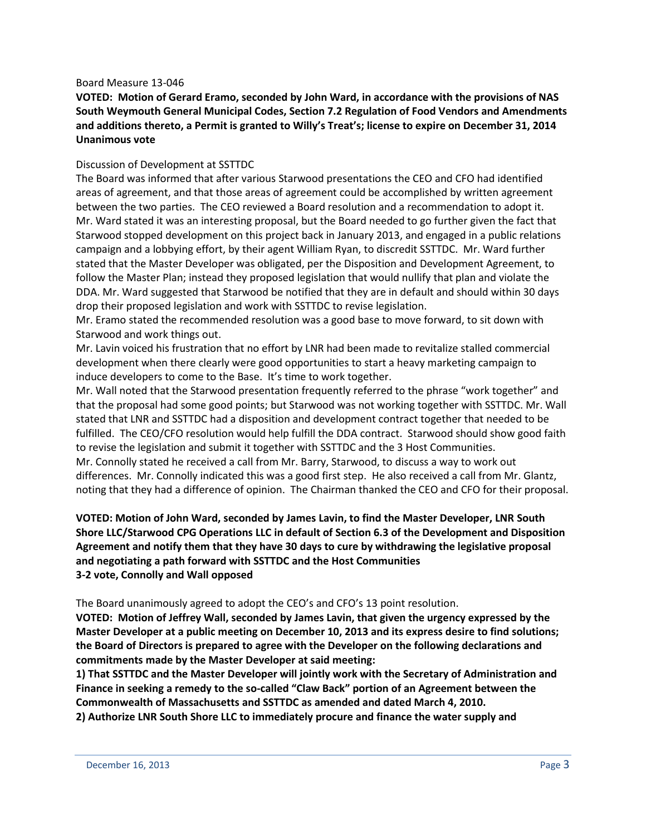#### Board Measure 13-046

**VOTED: Motion of Gerard Eramo, seconded by John Ward, in accordance with the provisions of NAS South Weymouth General Municipal Codes, Section 7.2 Regulation of Food Vendors and Amendments and additions thereto, a Permit is granted to Willy's Treat's; license to expire on December 31, 2014 Unanimous vote**

### Discussion of Development at SSTTDC

The Board was informed that after various Starwood presentations the CEO and CFO had identified areas of agreement, and that those areas of agreement could be accomplished by written agreement between the two parties. The CEO reviewed a Board resolution and a recommendation to adopt it. Mr. Ward stated it was an interesting proposal, but the Board needed to go further given the fact that Starwood stopped development on this project back in January 2013, and engaged in a public relations campaign and a lobbying effort, by their agent William Ryan, to discredit SSTTDC. Mr. Ward further stated that the Master Developer was obligated, per the Disposition and Development Agreement, to follow the Master Plan; instead they proposed legislation that would nullify that plan and violate the DDA. Mr. Ward suggested that Starwood be notified that they are in default and should within 30 days drop their proposed legislation and work with SSTTDC to revise legislation.

Mr. Eramo stated the recommended resolution was a good base to move forward, to sit down with Starwood and work things out.

Mr. Lavin voiced his frustration that no effort by LNR had been made to revitalize stalled commercial development when there clearly were good opportunities to start a heavy marketing campaign to induce developers to come to the Base. It's time to work together.

Mr. Wall noted that the Starwood presentation frequently referred to the phrase "work together" and that the proposal had some good points; but Starwood was not working together with SSTTDC. Mr. Wall stated that LNR and SSTTDC had a disposition and development contract together that needed to be fulfilled. The CEO/CFO resolution would help fulfill the DDA contract. Starwood should show good faith to revise the legislation and submit it together with SSTTDC and the 3 Host Communities.

Mr. Connolly stated he received a call from Mr. Barry, Starwood, to discuss a way to work out differences. Mr. Connolly indicated this was a good first step. He also received a call from Mr. Glantz, noting that they had a difference of opinion. The Chairman thanked the CEO and CFO for their proposal.

## **VOTED: Motion of John Ward, seconded by James Lavin, to find the Master Developer, LNR South Shore LLC/Starwood CPG Operations LLC in default of Section 6.3 of the Development and Disposition Agreement and notify them that they have 30 days to cure by withdrawing the legislative proposal and negotiating a path forward with SSTTDC and the Host Communities 3-2 vote, Connolly and Wall opposed**

The Board unanimously agreed to adopt the CEO's and CFO's 13 point resolution.

**VOTED: Motion of Jeffrey Wall, seconded by James Lavin, that given the urgency expressed by the Master Developer at a public meeting on December 10, 2013 and its express desire to find solutions; the Board of Directors is prepared to agree with the Developer on the following declarations and commitments made by the Master Developer at said meeting:**

**1) That SSTTDC and the Master Developer will jointly work with the Secretary of Administration and Finance in seeking a remedy to the so-called "Claw Back" portion of an Agreement between the Commonwealth of Massachusetts and SSTTDC as amended and dated March 4, 2010.**

**2) Authorize LNR South Shore LLC to immediately procure and finance the water supply and**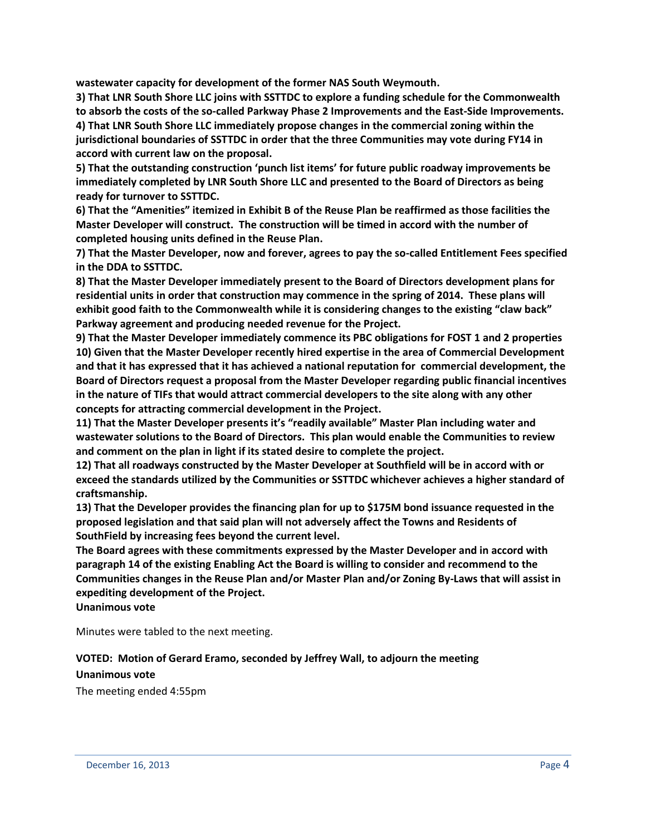**wastewater capacity for development of the former NAS South Weymouth.**

**3) That LNR South Shore LLC joins with SSTTDC to explore a funding schedule for the Commonwealth to absorb the costs of the so-called Parkway Phase 2 Improvements and the East-Side Improvements. 4) That LNR South Shore LLC immediately propose changes in the commercial zoning within the jurisdictional boundaries of SSTTDC in order that the three Communities may vote during FY14 in accord with current law on the proposal.**

**5) That the outstanding construction 'punch list items' for future public roadway improvements be immediately completed by LNR South Shore LLC and presented to the Board of Directors as being ready for turnover to SSTTDC.**

**6) That the "Amenities" itemized in Exhibit B of the Reuse Plan be reaffirmed as those facilities the Master Developer will construct. The construction will be timed in accord with the number of completed housing units defined in the Reuse Plan.**

**7) That the Master Developer, now and forever, agrees to pay the so-called Entitlement Fees specified in the DDA to SSTTDC.**

**8) That the Master Developer immediately present to the Board of Directors development plans for residential units in order that construction may commence in the spring of 2014. These plans will exhibit good faith to the Commonwealth while it is considering changes to the existing "claw back" Parkway agreement and producing needed revenue for the Project.**

**9) That the Master Developer immediately commence its PBC obligations for FOST 1 and 2 properties 10) Given that the Master Developer recently hired expertise in the area of Commercial Development and that it has expressed that it has achieved a national reputation for commercial development, the Board of Directors request a proposal from the Master Developer regarding public financial incentives in the nature of TIFs that would attract commercial developers to the site along with any other concepts for attracting commercial development in the Project.**

**11) That the Master Developer presents it's "readily available" Master Plan including water and wastewater solutions to the Board of Directors. This plan would enable the Communities to review and comment on the plan in light if its stated desire to complete the project.**

**12) That all roadways constructed by the Master Developer at Southfield will be in accord with or exceed the standards utilized by the Communities or SSTTDC whichever achieves a higher standard of craftsmanship.**

**13) That the Developer provides the financing plan for up to \$175M bond issuance requested in the proposed legislation and that said plan will not adversely affect the Towns and Residents of SouthField by increasing fees beyond the current level.**

**The Board agrees with these commitments expressed by the Master Developer and in accord with paragraph 14 of the existing Enabling Act the Board is willing to consider and recommend to the Communities changes in the Reuse Plan and/or Master Plan and/or Zoning By-Laws that will assist in expediting development of the Project.**

**Unanimous vote**

Minutes were tabled to the next meeting.

## **VOTED: Motion of Gerard Eramo, seconded by Jeffrey Wall, to adjourn the meeting**

## **Unanimous vote**

The meeting ended 4:55pm